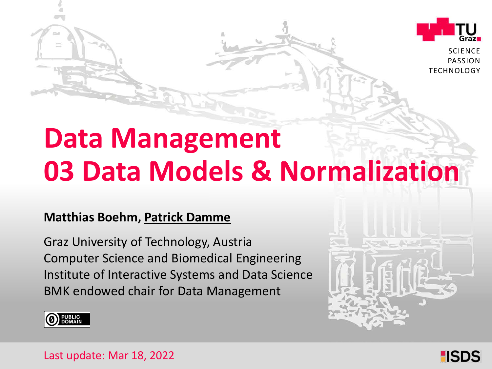

**SCIENCE** PASSION TECHNOLOGY

# **Data Management 03 Data Models & Normalization**

### **Matthias Boehm, Patrick Damme**

Graz University of Technology, Austria Institute of Interactive Systems and Data Science Computer Science and Biomedical Engineering BMK endowed chair for Data Management





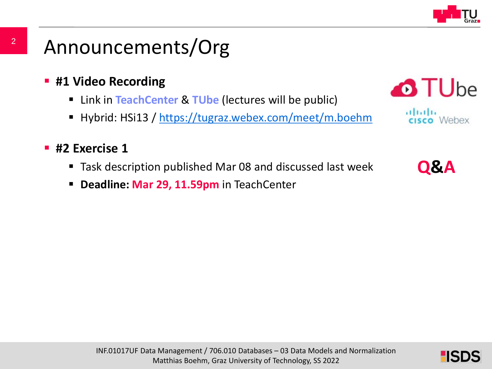

- **#1 Video Recording** 
	- Link in **TeachCenter** & **TUbe** (lectures will be public)
	- Hybrid: HSi13 / <https://tugraz.webex.com/meet/m.boehm>

### **#2 Exercise 1**

- Task description published Mar 08 and discussed last week
- **Deadline: Mar 29, 11.59pm** in TeachCenter



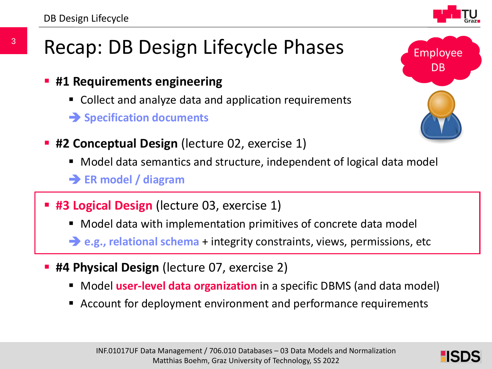# Recap: DB Design Lifecycle Phases

- **#1 Requirements engineering**
	- Collect and analyze data and application requirements
	- **Specification documents**
- **#2 Conceptual Design** (lecture 02, exercise 1)
	- Model data semantics and structure, independent of logical data model
	- **ER model / diagram**
- **#3 Logical Design** (lecture 03, exercise 1)
	- Model data with implementation primitives of concrete data model

**e.g., relational schema** + integrity constraints, views, permissions, etc

- **#4 Physical Design** (lecture 07, exercise 2)
	- **Model user-level data organization** in a specific DBMS (and data model)
	- Account for deployment environment and performance requirements





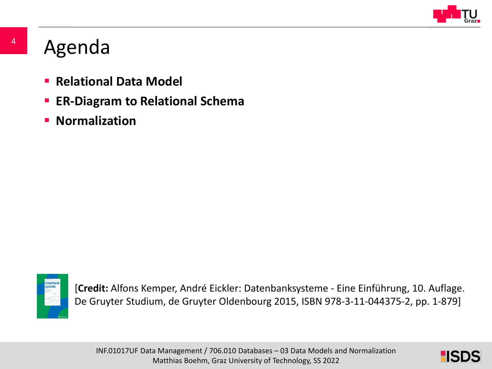

# Agenda

- **Relational Data Model**
- **ER-Diagram to Relational Schema**
- **E** Normalization



[**Credit:** Alfons Kemper, André Eickler: Datenbanksysteme - Eine Einführung, 10. Auflage. De Gruyter Studium, de Gruyter Oldenbourg 2015, ISBN 978-3-11-044375-2, pp. 1-879]

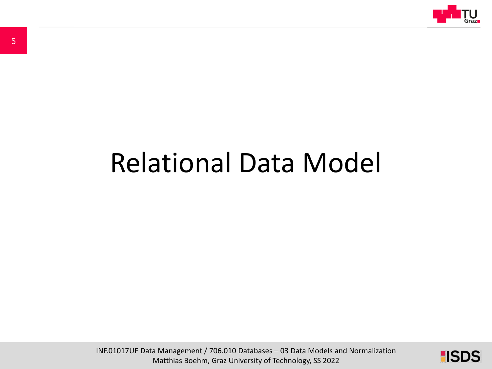

# Relational Data Model

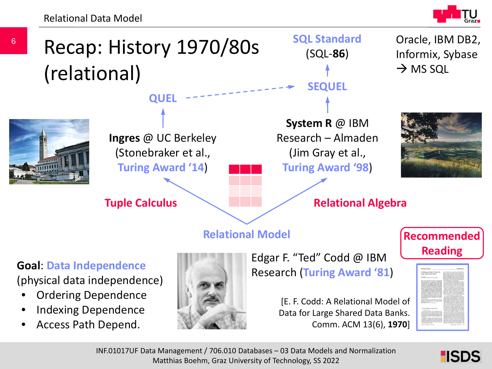Relational Data Model



**HISDS** 



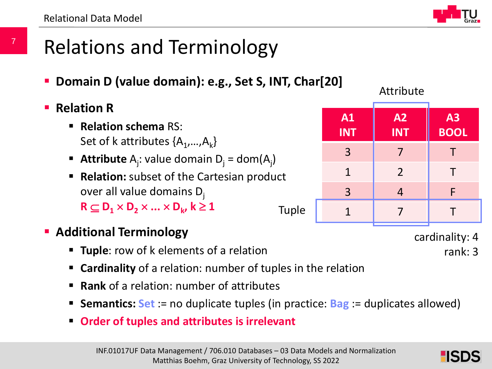# Relations and Terminology

- **Domain D (value domain): e.g., Set S, INT, Char[20]**
- **Relation R**

7

- **Relation schema** RS: Set of k attributes  $\{A_1,...,A_k\}$
- **Attribute**  $A_j$ : value domain  $D_j = dom(A_j)$
- **Relation:** subset of the Cartesian product over all value domains  $D_i$  $R \subset D_1 \times D_2 \times ... \times D_k$ ,  $k \ge 1$ Tuple
- **Additional Terminology** 
	- **Tuple**: row of k elements of a relation
	- **Cardinality** of a relation: number of tuples in the relation
	- **Rank** of a relation: number of attributes
	- **Semantics: Set** := no duplicate tuples (in practice: **Bag** := duplicates allowed)
	- **Order of tuples and attributes is irrelevant**

Attribute

| A1<br><b>INT</b> | A2<br><b>INT</b> | A3<br>BOOL |
|------------------|------------------|------------|
| $\overline{3}$   | 7                | т          |
| $\mathbf{1}$     | $\overline{2}$   | Т          |
| $\overline{3}$   | $\overline{4}$   | F          |
| 1                |                  |            |

cardinality: 4

rank: 3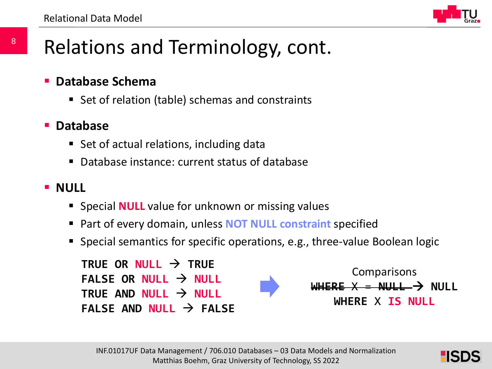

# Relations and Terminology, cont.

- **Database Schema**
	- Set of relation (table) schemas and constraints

### **Database**

- **Set of actual relations, including data**
- Database instance: current status of database

### **NULL**

- **Special NULL** value for unknown or missing values
- Part of every domain, unless **NOT NULL constraint** specified
- Special semantics for specific operations, e.g., three-value Boolean logic



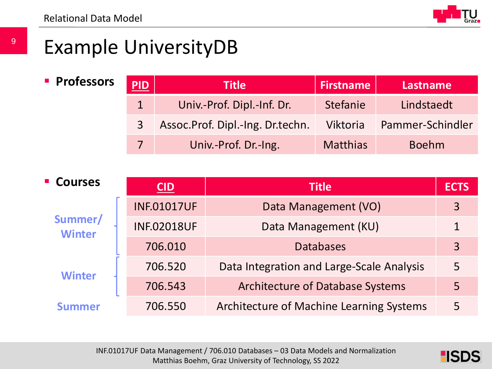

# Example UniversityDB

### **Professors**

|   | Title                            | <b>Firstname</b> | Lastname         |
|---|----------------------------------|------------------|------------------|
|   | Univ.-Prof. Dipl.-Inf. Dr.       | <b>Stefanie</b>  | Lindstaedt       |
| 3 | Assoc.Prof. Dipl.-Ing. Dr.techn. | Viktoria         | Pammer-Schindler |
|   | Univ.-Prof. Dr.-Ing.             | <b>Matthias</b>  | <b>Boehm</b>     |

| <b>- Courses</b>         | CID                | <b>Title</b>                              | <b>ECTS</b> |
|--------------------------|--------------------|-------------------------------------------|-------------|
| Summer/<br><b>Winter</b> | <b>INF.01017UF</b> | Data Management (VO)                      | 3           |
|                          | <b>INF.02018UF</b> | Data Management (KU)                      |             |
|                          | 706.010            | <b>Databases</b>                          | 3           |
|                          | 706.520            | Data Integration and Large-Scale Analysis | 5           |
| <b>Winter</b>            | 706.543            | <b>Architecture of Database Systems</b>   | 5           |
| ummer                    | 706.550            | Architecture of Machine Learning Systems  | 5           |

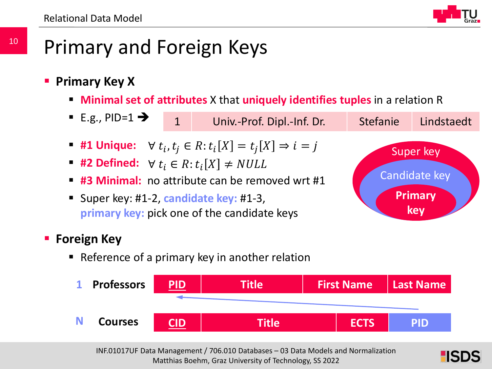

# Primary and Foreign Keys

- **Primary Key X**
	- **Minimal set of attributes** X that **uniquely identifies tuples** in a relation R
	- E.g., PID=1 $\rightarrow$ **#1 Unique:**  $\forall t_i, t_j \in R$ :  $t_i[X] = t_j[X] \Rightarrow i = j$ **#2 Defined:**  $\forall t_i \in R : t_i[X] \neq NULL$  **#3 Minimal:** no attribute can be removed wrt #1 Super key: #1-2, **candidate key:** #1-3, **primary key:** pick one of the candidate keys 1 Univ.-Prof. Dipl.-Inf. Dr. Stefanie Lindstaedt Super key Candidate key **Primary key**

### **Foreign Key**

Reference of a primary key in another relation



INF.01017UF Data Management / 706.010 Databases – 03 Data Models and Normalization Matthias Boehm, Graz University of Technology, SS 2022

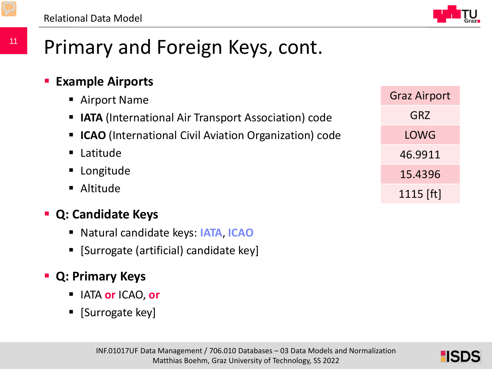

Graz Airport

GRZ

LOWG

46.9911

15.4396

1115 [ft]

# Primary and Foreign Keys, cont.

### **Example Airports**

- Airport Name
- **IATA** (International Air Transport Association) code
- **ICAO** (International Civil Aviation Organization) code
- Latitude
- Longitude
- Altitude

### **Q: Candidate Keys**

- Natural candidate keys: **IATA**, **ICAO**
- **[Surrogate (artificial) candidate key]**

### **Q: Primary Keys**

- IATA **or** ICAO, **or**
- $\blacksquare$  [Surrogate key]

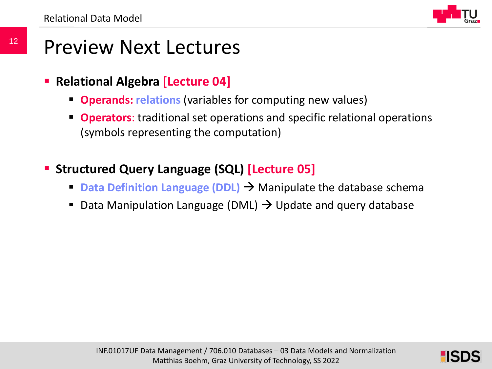## Preview Next Lectures

- **Relational Algebra [Lecture 04]**
	- **Operands: relations** (variables for computing new values)
	- **Operators**: traditional set operations and specific relational operations (symbols representing the computation)
- **Structured Query Language (SQL) [Lecture 05]** 
	- **Data Definition Language (DDL) → Manipulate the database schema**
	- Data Manipulation Language (DML)  $\rightarrow$  Update and query database

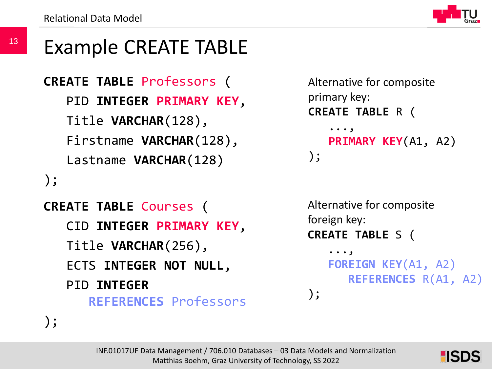13

# Example CREATE TABLE

```
CREATE TABLE Professors (
   PID INTEGER PRIMARY KEY,
   Title VARCHAR(128),
   Firstname VARCHAR(128),
   Lastname VARCHAR(128)
);
```

```
CREATE TABLE Courses (
   CID INTEGER PRIMARY KEY,
   Title VARCHAR(256),
   ECTS INTEGER NOT NULL,
   PID INTEGER
      REFERENCES Professors
```

```
Alternative for composite 
primary key:
CREATE TABLE R (
    ...,
   PRIMARY KEY(A1, A2)
);
```

```
Alternative for composite 
foreign key:
CREATE TABLE S (
    ...,
```
);

```
FOREIGN KEY(A1, A2) 
   REFERENCES R(A1, A2)
```

```
);
```
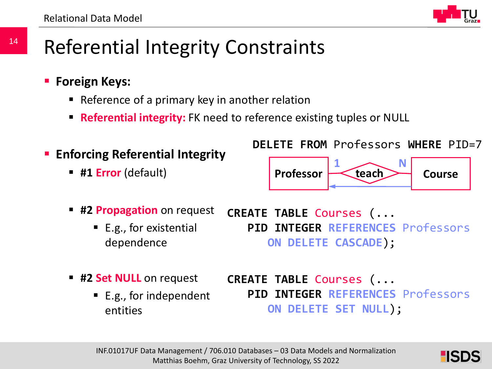14



# Referential Integrity Constraints

- **Foreign Keys:** 
	- Reference of a primary key in another relation
	- **Referential integrity:** FK need to reference existing tuples or NULL
- **Enforcing Referential Integrity** 
	- **#1 Error** (default)

**DELETE FROM** Professors **WHERE** PID=7



- **#2 Propagation** on request
	- $\blacksquare$  E.g., for existential dependence
- **CREATE TABLE** Courses (... **PID INTEGER REFERENCES** Professors **ON DELETE CASCADE**);
- **#2 Set NULL** on request
	- E.g., for independent entities

**CREATE TABLE** Courses (... **PID INTEGER REFERENCES** Professors **ON DELETE SET NULL**);

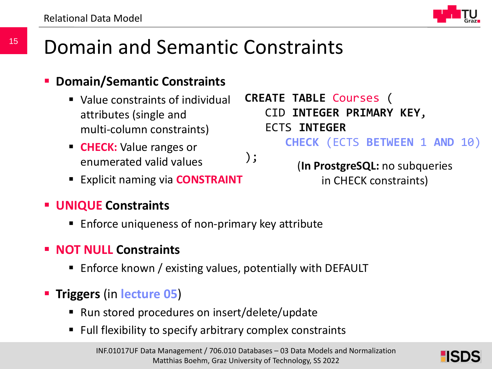

# Domain and Semantic Constraints

### **Domain/Semantic Constraints**

- Value constraints of individual attributes (single and multi-column constraints)
- **CHECK:** Value ranges or enumerated valid values
- **Explicit naming via CONSTRAINT**
- **UNIQUE Constraints**
	- Enforce uniqueness of non-primary key attribute
- **NOT NULL Constraints**
	- Enforce known / existing values, potentially with DEFAULT
- **Triggers** (in **lecture 05**)
	- Run stored procedures on insert/delete/update
	- Full flexibility to specify arbitrary complex constraints

**CREATE TABLE** Courses (

ECTS **INTEGER**

CID **INTEGER PRIMARY KEY**,

); (**In ProstgreSQL:** no subqueries

**CHECK** (ECTS **BETWEEN** 1 **AND** 10)

in CHECK constraints)

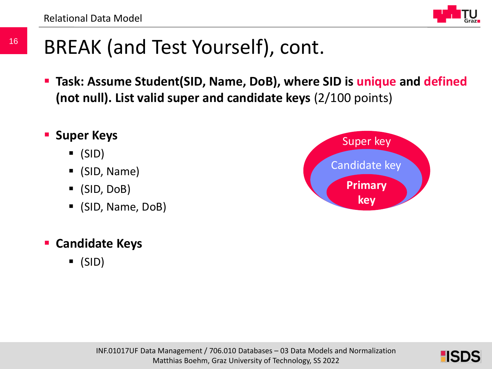16



# BREAK (and Test Yourself), cont.

- **Task: Assume Student(SID, Name, DoB), where SID is unique and defined (not null). List valid super and candidate keys** (2/100 points)
- **F** Super Keys
	- $\bullet$  (SID)
	- (SID, Name)
	- (SID, DoB)
	- (SID, Name, DoB)
- **Candidate Keys**
	- $\bullet$  (SID)



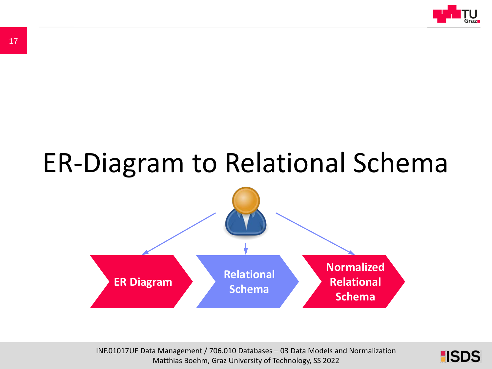

# ER-Diagram to Relational Schema



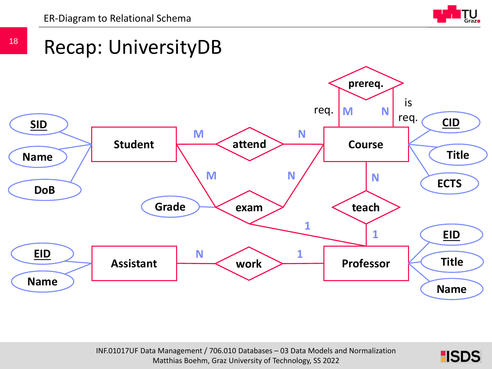



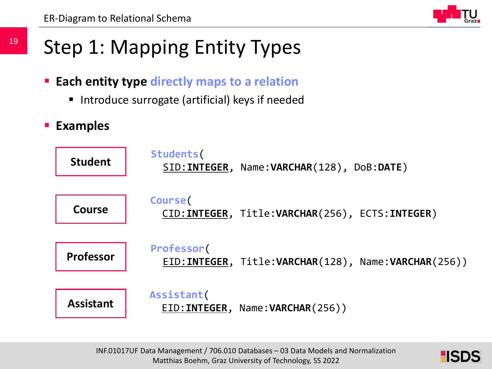

# Step 1: Mapping Entity Types

- **Each entity type directly maps to a relation**
	- **Introduce surrogate (artificial) keys if needed**
- **Examples**



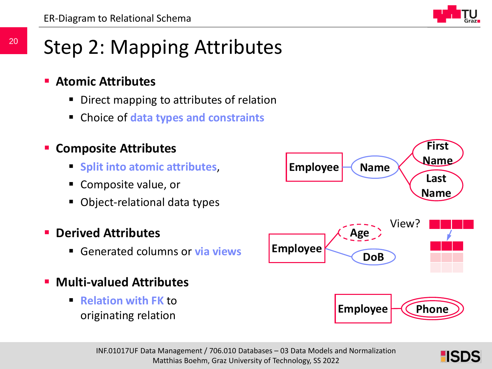

# Step 2: Mapping Attributes

- **Atomic Attributes** 
	- Direct mapping to attributes of relation
	- Choice of **data types and constraints**

### **Composite Attributes**

- **Split into atomic attributes,**
- Composite value, or
- Object-relational data types

### **Derived Attributes**

- Generated columns or **via views**
- **Multi-valued Attributes**
	- **Relation with FK** to originating relation



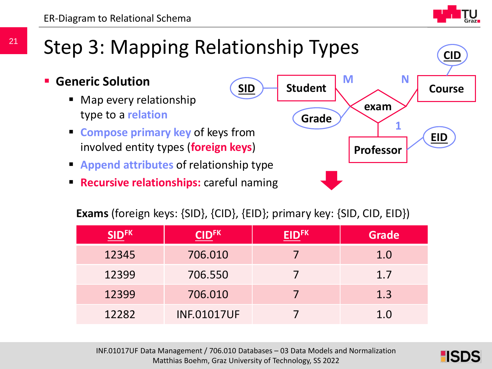**CID**

# Step 3: Mapping Relationship Types

- **Generic Solution**
	- Map every relationship type to a **relation**
	- **Compose primary key of keys from** involved entity types (**foreign keys**)
	- **Append attributes** of relationship type
	- **Recursive relationships:** careful naming



### **Exams** (foreign keys: {SID}, {CID}, {EID}; primary key: {SID, CID, EID})

| <b>SIDFK</b> | <b>CIDFK</b>       | רך | <b>Grade</b> |
|--------------|--------------------|----|--------------|
| 12345        | 706.010            |    | 1.0          |
| 12399        | 706.550            |    | 1.7          |
| 12399        | 706.010            |    | 1.3          |
| 12282        | <b>INF.01017UF</b> |    | 1.0          |

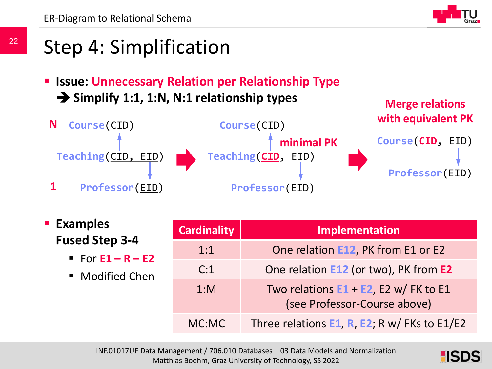

**Merge relations** 

# Step 4: Simplification

 **Issue: Unnecessary Relation per Relationship Type →** Simplify 1:1, 1:N, N:1 relationship types



 **Examples Fused Step 3-4**

- For **E1 – R – E2**
- Modified Chen

| <b>Cardinality</b> | Implementation                                                           |
|--------------------|--------------------------------------------------------------------------|
| 1:1                | One relation E12, PK from E1 or E2                                       |
| C:1                | One relation E12 (or two), PK from E2                                    |
| $1:$ M             | Two relations $E1 + E2$ , E2 w/ FK to E1<br>(see Professor-Course above) |
| MC:MC              | Three relations E1, R, E2; R w/ FKs to E1/E2                             |

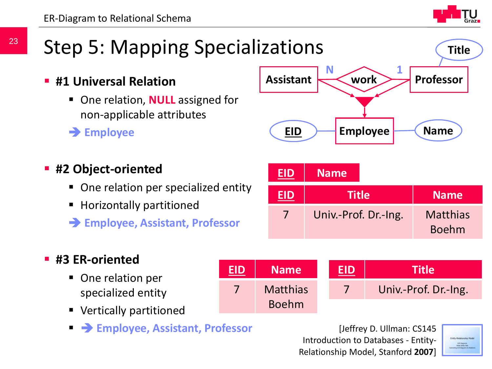# Step 5: Mapping Specializations

- **#1 Universal Relation**
	- One relation, **NULL** assigned for non-applicable attributes
	- **Employee**
- **#2 Object-oriented**
	- One relation per specialized entity
	- Horizontally partitioned
	- **Employee, Assistant, Professor**

### **#3 ER-oriented**

- One relation per specialized entity
- Vertically partitioned
- **Employee, Assistant, Professor**

**EID Name**

7 Matthias

Boehm

**INFREDATA Management Control 2007** Belationship Model, Stanford 2007] [Jeffrey D. Ullman: CS14 Introduction to Databases - Entity-

**EID Title**

7 **Univ.-Prof. Dr.-Ing.** 

$$
\sum_{\substack{\text{[GUP-Pdcl:Corr] = 1000} \text{Fdof:} \text{Fdof:} \text{Fdof:} \text{Fdof:} \text{Fdof:} \text{Fdof:} \text{Fdof:} \text{Fdof:} \text{Fdof:} \text{Fdof:} \text{Fdof:} \text{Fdof:} \text{Fdof:} \text{Fdof:} \text{Fdof:} \text{Fdof:} \text{Fdof:} \text{Fdof:} \text{Fdof:} \text{Fdof:} \text{Fdof:} \text{Fdof:} \text{Fdof:} \text{Fdof:} \text{Fdof:} \text{Fdof:} \text{Fdof:} \text{Fdof:} \text{Fdof:} \text{Fdof:} \text{Fdof:} \text{Fdof:} \text{Fdof:} \text{Fdof:} \text{Fdof:} \text{Fdof:} \text{Fdof:} \text{Fdof:} \text{Fdof:} \text{Fdof:} \text{Fdof:} \text{Fdof:} \text{Fdof:} \text{Fdof:} \text{Fdof:} \text{Fdof:} \text{Fdof:} \text{Fdof:} \text{Fdof:} \text{Fdof:} \text{Fdof:} \text{Fdof:} \text{Fdof:} \text{Fdof:} \text{Fdof:} \text{Fdof:} \text{Fdof:} \text{Fdof:} \text{Fdof:} \text{Fdof:} \text{Fdof:} \text{Fdof:} \text{Fdof:} \text{Fdof:} \text{Fdof:} \text{Fdof:} \text{Fdof:} \text{Fdof:} \text{Fdof:} \text{Fdof:} \text{Fdof:} \text{Fdof:} \text{Fdof:} \text{Fdof:} \text{Fdof:} \text{Fdof:} \text{Fdof:} \text{Fdof:} \text{Fdof:} \text{Fdof:} \text{Fdof:} \text{Fdof:} \text{Fdof:} \text{Fdof:} \text{Fdof:} \text{Fdof:} \text{Fdof:} \text{Fdof:} \text{Fdof:} \text{Fdof:} \text{Fdof:} \text{Fdof
$$



**Assistant Professor**

**work N 1**



**Title**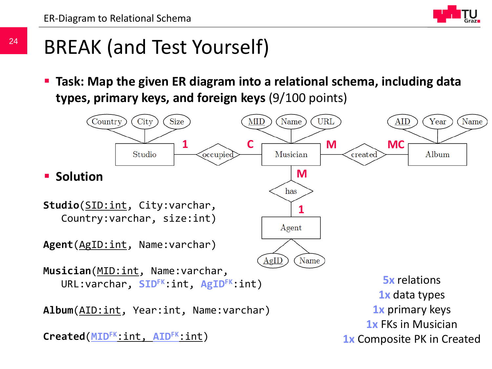

# BREAK (and Test Yourself)

 **Task: Map the given ER diagram into a relational schema, including data types, primary keys, and foreign keys** (9/100 points)

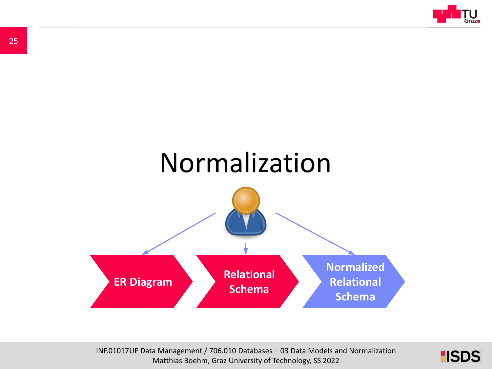



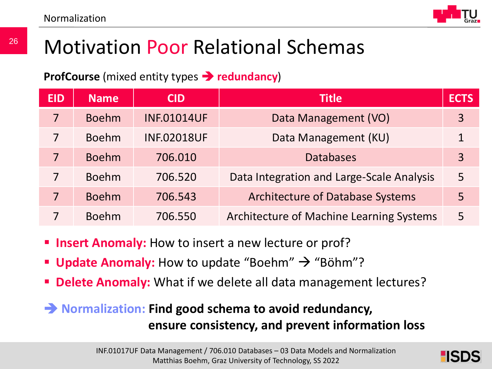

# Motivation Poor Relational Schemas

**ProfCourse** (mixed entity types **redundancy**)

| <b>EID</b> | <b>Name</b>  | <b>CID</b>         | <b>Title</b>                                    | <b>ECTS</b>    |
|------------|--------------|--------------------|-------------------------------------------------|----------------|
| 7          | <b>Boehm</b> | <b>INF.01014UF</b> | Data Management (VO)                            | $\overline{3}$ |
| 7          | <b>Boehm</b> | <b>INF.02018UF</b> | Data Management (KU)                            | 1              |
| 7          | <b>Boehm</b> | 706.010            | <b>Databases</b>                                | $\overline{3}$ |
| 7          | <b>Boehm</b> | 706.520            | Data Integration and Large-Scale Analysis       | 5              |
| 7          | <b>Boehm</b> | 706.543            | <b>Architecture of Database Systems</b>         | 5              |
|            | <b>Boehm</b> | 706.550            | <b>Architecture of Machine Learning Systems</b> | 5              |

- **Insert Anomaly:** How to insert a new lecture or prof?
- **Update Anomaly:** How to update "Boehm"  $\rightarrow$  "Böhm"?
- **Delete Anomaly:** What if we delete all data management lectures?

### **Normalization: Find good schema to avoid redundancy, ensure consistency, and prevent information loss**

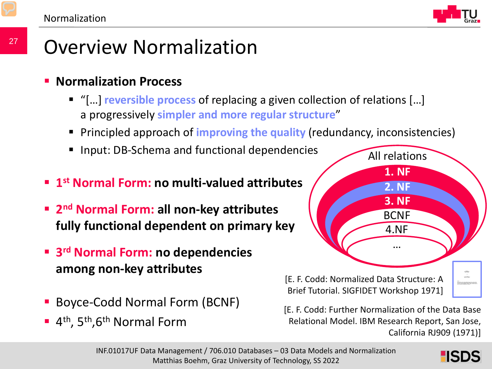

# Overview Normalization

### **Normalization Process**

- "[…] **reversible process** of replacing a given collection of relations […] a progressively **simpler and more regular structure**"
- **Principled approach of improving the quality (redundancy, inconsistencies)**
- Input: DB-Schema and functional dependencies
- **1st Normal Form: no multi-valued attributes**
- **2nd Normal Form: all non-key attributes fully functional dependent on primary key**
- **3rd Normal Form: no dependencies among non-key attributes**
- Boyce-Codd Normal Form (BCNF)
- $\blacksquare$  4<sup>th</sup>, 5<sup>th</sup>, 6<sup>th</sup> Normal Form



[E. F. Codd: Further Normalization of the Data Base Relational Model. IBM Research Report, San Jose, California RJ909 (1971)]

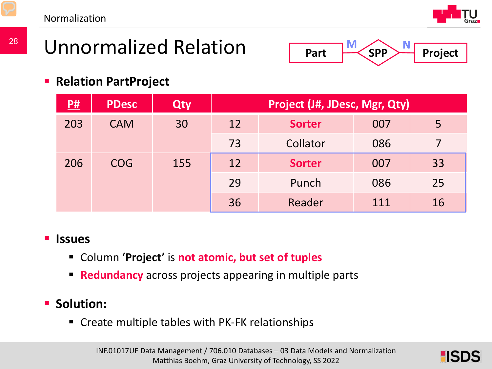Normalization



# Unnormalized Relation



**Relation PartProject**

| P#  | <b>PDesc</b> | Qty | Project (J#, JDesc, Mgr, Qty) |          |     |    |  |
|-----|--------------|-----|-------------------------------|----------|-----|----|--|
| 203 | <b>CAM</b>   | 30  | 12<br><b>Sorter</b>           |          | 007 | 5  |  |
|     |              |     |                               | Collator | 086 | 7  |  |
| 206 | <b>COG</b>   | 155 | 12<br><b>Sorter</b>           |          | 007 | 33 |  |
|     |              |     | 29                            | Punch    | 086 | 25 |  |
|     |              | 36  | Reader                        | 111      | 16  |    |  |

### **Issues**

- Column **'Project'** is **not atomic, but set of tuples**
- **Redundancy** across projects appearing in multiple parts

### **Solution:**

Create multiple tables with PK-FK relationships

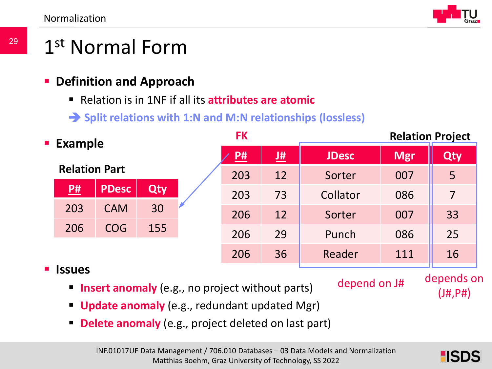

# 1st Normal Form

- **Definition and Approach**
	- Relation is in 1NF if all its **attributes are atomic**
	- **Split relations with 1:N and M:N relationships (lossless)**

| <b>Example</b> |                      | <b>FK</b>    |            | <b>Relation Project</b> |            |            |     |                             |  |
|----------------|----------------------|--------------|------------|-------------------------|------------|------------|-----|-----------------------------|--|
|                |                      | P#           | 堆          | <b>JDesc</b>            | <b>Mgr</b> | <b>Qty</b> |     |                             |  |
|                | <b>Relation Part</b> |              |            | 203                     | 12         | Sorter     | 007 | 5                           |  |
|                | P#                   | <b>PDesc</b> | <b>Qty</b> | 203                     | 73         | Collator   | 086 | $\overline{7}$              |  |
|                | 203                  | <b>CAM</b>   | 30         | 206                     | 12         | Sorter     | 007 | 33                          |  |
|                | 206                  | <b>COG</b>   | 155        | 206                     | 29         | Punch      | 086 | 25                          |  |
|                |                      |              |            | 206                     | 36         | Reader     | 111 | 16                          |  |
| $\blacksquare$ | <b>Issues</b>        |              |            |                         |            |            |     | مراجي المراج المراجي المراج |  |

**Insert anomaly** (e.g., no project without parts)

depend on J# depends on

(J#,P#)

- **Update anomaly** (e.g., redundant updated Mgr)
- **Delete anomaly** (e.g., project deleted on last part)

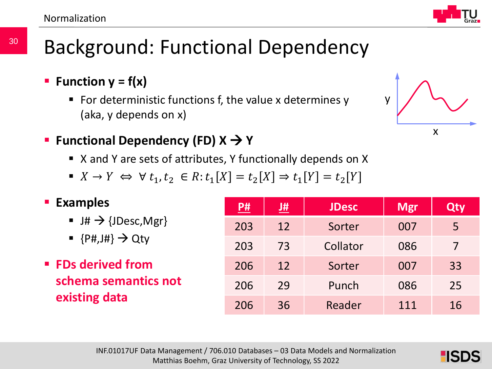30



- **Function**  $y = f(x)$ 
	- For deterministic functions f, the value x determines  $y$ (aka, y depends on x)
- Functional Dependency (FD)  $X$  → Y
	- X and Y are sets of attributes, Y functionally depends on X
	- $\bullet$   $X \rightarrow Y \Leftrightarrow \forall t_1, t_2 \in R$ :  $t_1[X] = t_2[X] \Rightarrow t_1[Y] = t_2[Y]$

### **Examples**

- $\blacksquare$  J#  $\rightarrow$  {JDesc, Mgr}
- $\bullet$  {P#, J#}  $\rightarrow$  Qty
- **FDs derived from schema semantics not existing data**

| <u>P#</u> | <u>J#</u> | <b>JDesc</b> | <b>Mgr</b> | Qty |
|-----------|-----------|--------------|------------|-----|
| 203       | 12        | Sorter       | 007        | 5   |
| 203       | 73        | Collator     | 086        |     |
| 206       | 12        | Sorter       | 007        | 33  |
| 206       | 29        | Punch        | 086        | 25  |
| 206       | 36        | Reader       | 111        | 16  |



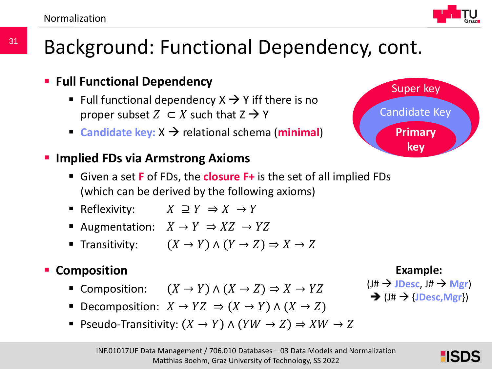# Background: Functional Dependency, cont.

- Full functional dependency  $X \rightarrow Y$  iff there is no proper subset  $Z \subset X$  such that  $Z \to Y$
- **Candidate key:**  $X \rightarrow$  relational schema (**minimal**)

### **Implied FDs via Armstrong Axioms**

- Given a set **F** of FDs, the **closure F+** is the set of all implied FDs (which can be derived by the following axioms)
- Reflexivity:  $X \supseteq Y \Rightarrow X \rightarrow Y$
- Augmentation:  $X \to Y \Rightarrow XZ \to YZ$
- Transitivity:  $(X \to Y) \land (Y \to Z) \Rightarrow X \to Z$

### **E** Composition

- Composition:  $(X \to Y) \land (X \to Z) \Rightarrow X \to YZ$
- Decomposition:  $X \to YZ \Rightarrow (X \to Y) \land (X \to Z)$
- Pseudo-Transitivity:  $(X \to Y) \land (YW \to Z) \Rightarrow XW \to Z$

## **Full Functional Dependency**



### **Example:**

 $(I# \rightarrow$  **JDesc**,  $J# \rightarrow$  Mgr)  $\rightarrow$  (J#  $\rightarrow$  {**JDesc**, Mgr})

### Candidate Key **Primary key**

Super key



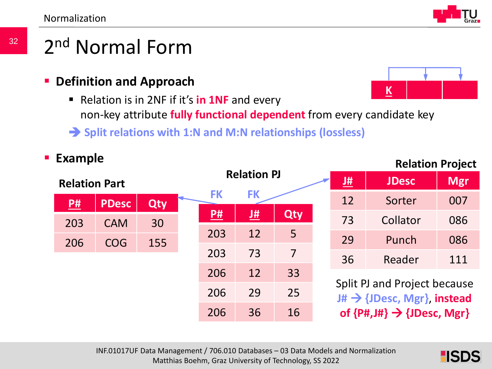32



# 2nd Normal Form

- **Definition and Approach**
	- Relation is in 2NF if it's **in 1NF** and every non-key attribute **fully functional dependent** from every candidate key
	- **Split relations with 1:N and M:N relationships (lossless)**



### INF.01017UF Data Management / 706.010 Databases – 03 Data Models and Normalization Matthias Boehm, Graz University of Technology, SS 2022

### **Relation Project**



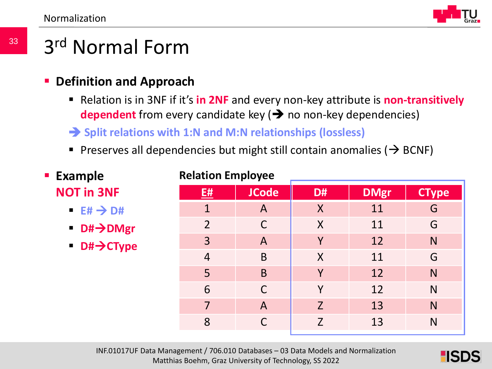

# 3rd Normal Form

- **Definition and Approach**
	- Relation is in 3NF if it's in 2NF and every non-key attribute is non-transitively **dependent** from every candidate key  $(\rightarrow)$  no non-key dependencies)
	- **Split relations with 1:N and M:N relationships (lossless)**
	- Preserves all dependencies but might still contain anomalies ( $\rightarrow$  BCNF)

| <b>Example</b>                       | <b>Relation Employee</b> |                |                |             |              |  |  |  |
|--------------------------------------|--------------------------|----------------|----------------|-------------|--------------|--|--|--|
| <b>NOT in 3NF</b>                    | E#                       | <b>JCode</b>   | D#             | <b>DMgr</b> | <b>CType</b> |  |  |  |
| $E# \rightarrow D#$                  | 1                        | A              | $\sf X$        | 11          | G            |  |  |  |
| ■ D#→DMgr                            | $\overline{2}$           | $\mathsf{C}$   | $\sf X$        | 11          | G            |  |  |  |
| $\rightarrow$ D# $\rightarrow$ CType | 3                        | $\overline{A}$ | Y              | 12          | N            |  |  |  |
|                                      | $\overline{4}$           | B              | $\sf X$        | 11          | G            |  |  |  |
|                                      | 5                        | B              | Y              | 12          | N            |  |  |  |
|                                      | 6                        | $\mathsf{C}$   | Y              | 12          | N            |  |  |  |
|                                      | 7                        | $\overline{A}$ | $\overline{Z}$ | 13          | N            |  |  |  |
|                                      | 8                        |                | Z              | 13          | N            |  |  |  |
|                                      |                          |                |                |             |              |  |  |  |

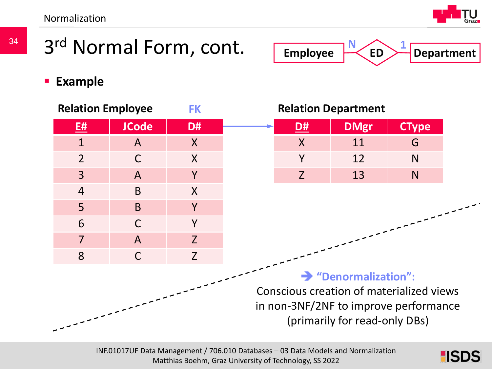Normalization



**ED Department**

**1**

**N**

**Employee**

# 3<sup>rd</sup> Normal Form, cont.

**Example**



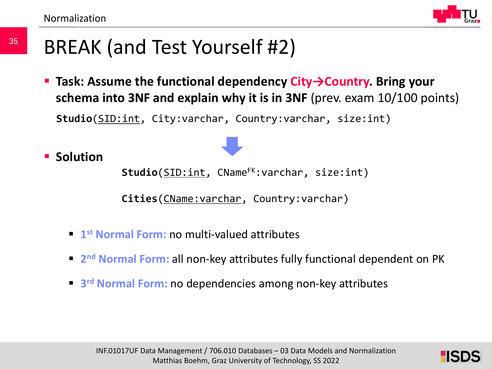35



# BREAK (and Test Yourself #2)

 **Task: Assume the functional dependency City→Country. Bring your schema into 3NF and explain why it is in 3NF** (prev. exam 10/100 points)

**Studio**(SID:int, City:varchar, Country:varchar, size:int)

**Solution** 

Studio(SID:int, CName<sup>FK</sup>:varchar, size:int)

**Cities**(CName:varchar, Country:varchar)

- **1st Normal Form:** no multi-valued attributes
- **2nd Normal Form:** all non-key attributes fully functional dependent on PK
- **3rd Normal Form:** no dependencies among non-key attributes